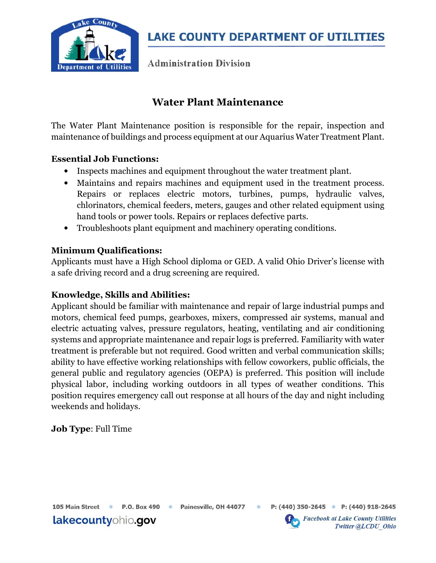

**LAKE COUNTY DEPARTMENT OF UTILITIES** 

**Administration Division** 

## Water Plant Maintenance

The Water Plant Maintenance position is responsible for the repair, inspection and maintenance of buildings and process equipment at our Aquarius Water Treatment Plant.

#### Essential Job Functions:

- Inspects machines and equipment throughout the water treatment plant.
- Maintains and repairs machines and equipment used in the treatment process. Repairs or replaces electric motors, turbines, pumps, hydraulic valves, chlorinators, chemical feeders, meters, gauges and other related equipment using hand tools or power tools. Repairs or replaces defective parts.
- Troubleshoots plant equipment and machinery operating conditions.

#### Minimum Qualifications:

Applicants must have a High School diploma or GED. A valid Ohio Driver's license with a safe driving record and a drug screening are required.

#### Knowledge, Skills and Abilities:

Applicant should be familiar with maintenance and repair of large industrial pumps and motors, chemical feed pumps, gearboxes, mixers, compressed air systems, manual and electric actuating valves, pressure regulators, heating, ventilating and air conditioning systems and appropriate maintenance and repair logs is preferred. Familiarity with water treatment is preferable but not required. Good written and verbal communication skills; ability to have effective working relationships with fellow coworkers, public officials, the general public and regulatory agencies (OEPA) is preferred. This position will include physical labor, including working outdoors in all types of weather conditions. This position requires emergency call out response at all hours of the day and night including weekends and holidays.

#### Job Type: Full Time

105 Main Street · P.O. Box 490

lakecountyohio.gov

• Painesville, OH 44077



P: (440) 350-2645 P: (440) 918-2645

**Facebook at Lake County Utilities Twitter @LCDU Ohio**